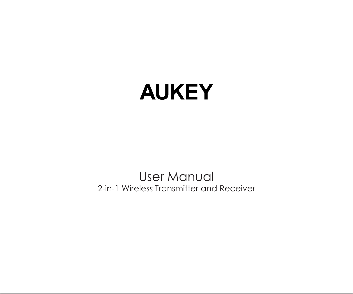# **AUKEY**

User Manual 2-in-1 Wireless Transmitter and Receiver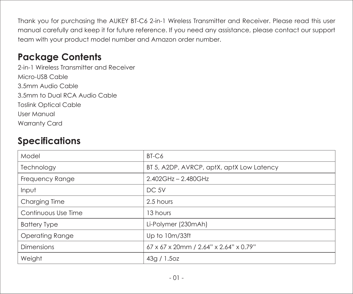Thank you for purchasing the AUKEY BT-C6 2-in-1 Wireless Transmitter and Receiver. Please read this user manual carefully and keep it for future reference. If you need any assistance, please contact our support team with your product model number and Amazon order number.

## **Package Contents**

2-in-1 Wireless Transmitter and Receiver Micro-USB Cable 3.5mm Audio Cable 3.5mm to Dual RCA Audio Cable Toslink Optical Cable User Manual Warranty Card

# **Specifications**

| Model               | BT-C6                                     |  |
|---------------------|-------------------------------------------|--|
| Technology          | BT 5, A2DP, AVRCP, aptX, aptX Low Latency |  |
| Frequency Range     | 2.402GHz - 2.480GHz                       |  |
| Input               | DC 5V                                     |  |
| Charging Time       | 2.5 hours                                 |  |
| Continuous Use Time | 13 hours                                  |  |
| <b>Battery Type</b> | Li-Polymer (230mAh)                       |  |
| Operating Range     | Up to 10m/33ft                            |  |
| <b>Dimensions</b>   | 67 x 67 x 20mm / 2.64" x 2.64" x 0.79"    |  |
| Weight              | 43q / 1.5oz                               |  |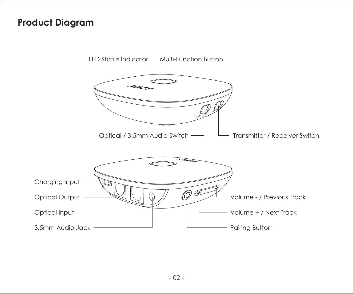## **Product Diagram**

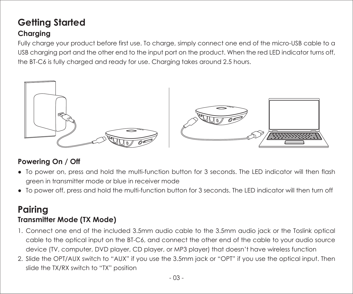# **Getting Started**

#### **Charging**

Fully charge your product before first use. To charge, simply connect one end of the micro-USB cable to a USB charging port and the other end to the input port on the product. When the red LED indicator turns off, the BT-C6 is fully charged and ready for use. Charging takes around 2.5 hours.



#### **Powering On / Off**

- To power on, press and hold the multi-function button for 3 seconds. The LED indicator will then flash green in transmitter mode or blue in receiver mode
- To power off, press and hold the multi-function button for 3 seconds. The LED indicator will then turn off

### **Pairing Transmitter Mode (TX Mode)**

- 1. Connect one end of the included 3.5mm audio cable to the 3.5mm audio jack or the Toslink optical cable to the optical input on the BT-C6, and connect the other end of the cable to your audio source device (TV, computer, DVD player, CD player, or MP3 player) that doesn't have wireless function
- 2. Slide the OPT/AUX switch to "AUX" if you use the 3.5mm jack or "OPT" if you use the optical input. Then slide the TX/RX switch to "TX" position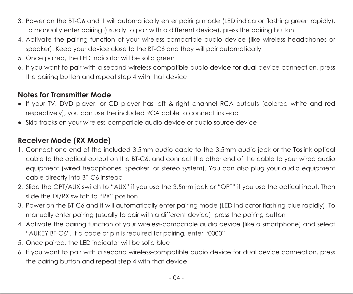- 3. Power on the BT-C6 and it will automatically enter pairing mode (LED indicator flashing green rapidly). To manually enter pairing (usually to pair with a different device), press the pairing button
- 4. Activate the pairing function of your wireless-compatible audio device (like wireless headphones or speaker). Keep your device close to the BT-C6 and they will pair automatically
- 5. Once paired, the LED indicator will be solid green
- 6. If you want to pair with a second wireless-compatible audio device for dual-device connection, press the pairing button and repeat step 4 with that device

#### **Notes for Transmitter Mode**

- If your TV, DVD player, or CD player has left & right channel RCA outputs (colored white and red respectively), you can use the included RCA cable to connect instead
- Skip tracks on your wireless-compatible audio device or audio source device

#### **Receiver Mode (RX Mode)**

- 1. Connect one end of the included 3.5mm audio cable to the 3.5mm audio jack or the Toslink optical cable to the optical output on the BT-C6, and connect the other end of the cable to your wired audio equipment (wired headphones, speaker, or stereo system). You can also plug your audio equipment cable directly into BT-C6 instead
- 2. Slide the OPT/AUX switch to "AUX" if you use the 3.5mm jack or "OPT" if you use the optical input. Then slide the TX/RX switch to "RX" position
- 3. Power on the BT-C6 and it will automatically enter pairing mode (LED indicator flashing blue rapidly). To manually enter pairing (usually to pair with a different device), press the pairing button
- 4. Activate the pairing function of your wireless-compatible audio device (like a smartphone) and select "AUKEY BT-C6". If a code or pin is required for pairing, enter "0000"
- 5. Once paired, the LED indicator will be solid blue
- 6. If you want to pair with a second wireless-compatible audio device for dual device connection, press the pairing button and repeat step 4 with that device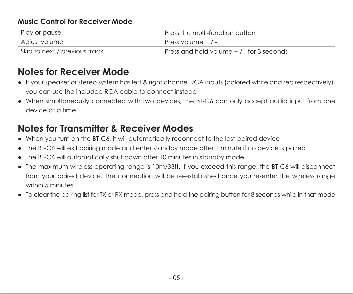#### **Music Control for Receiver Mode**

| Play or pause                   | Press the multi-function button           |  |
|---------------------------------|-------------------------------------------|--|
| Adjust volume                   | Press volume + / -                        |  |
| I Skip to next / previous track | Press and hold volume + / - for 3 seconds |  |

# **Notes for Receiver Mode**

- If your speaker or stereo system has left & right channel RCA inputs (colored white and red respectively), you can use the included RCA cable to connect instead
- When simultaneously connected with two devices, the BT-C6 can only accept audio input from one device at a time

# **Notes for Transmitter & Receiver Modes**

- When you turn on the BT-C6, it will automatically reconnect to the last-paired device
- The BT-C6 will exit pairing mode and enter standby mode after 1 minute if no device is paired
- The BT-C6 will automatically shut down after 10 minutes in standby mode
- The maximum wireless operating range is 10m/33ft. If you exceed this range, the BT-C6 will disconnect from your paired device. The connection will be re-established once you re-enter the wireless range within 5 minutes
- To clear the pairing list for TX or RX mode, press and hold the pairing button for 8 seconds while in that mode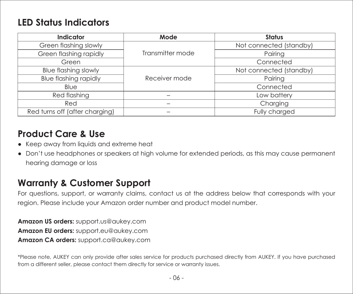## **LED Status Indicators**

| Indicator                      | Mode             | Status                  |
|--------------------------------|------------------|-------------------------|
| Green flashing slowly          | Transmitter mode | Not connected (standby) |
| Green flashing rapidly         |                  | Pairing                 |
| Green                          |                  | Connected               |
| <b>Blue flashing slowly</b>    | Receiver mode    | Not connected (standby) |
| <b>Blue flashing rapidly</b>   |                  | Pairina                 |
| Blue                           |                  | Connected               |
| Red flashing                   |                  | Low battery             |
| Red                            |                  | Charging                |
| Red turns off (after charging) |                  | Fully charged           |

## **Product Care & Use**

- Keep away from liquids and extreme heat
- Don't use headphones or speakers at high volume for extended periods, as this may cause permanent hearing damage or loss

# **Warranty & Customer Support**

For questions, support, or warranty claims, contact us at the address below that corresponds with your region. Please include your Amazon order number and product model number.

**Amazon US orders:** support.us@aukey.com **Amazon EU orders:** support.eu@aukey.com **Amazon CA orders:** support.ca@aukey.com

\*Please note, AUKEY can only provide after sales service for products purchased directly from AUKEY. If you have purchased from a different seller, please contact them directly for service or warranty issues.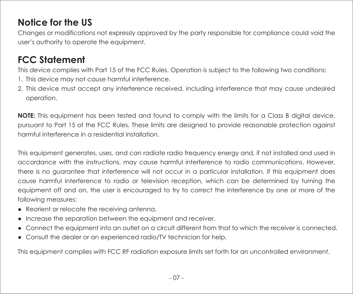# **Notice for the US**

Changes or modifications not expressly approved by the party responsible for compliance could void the user's authority to operate the equipment.

# **FCC Statement**

This device complies with Part 15 of the FCC Rules. Operation is subject to the following two conditions:

- 1. This device may not cause harmful interference.
- 2. This device must accept any interference received, including interference that may cause undesired operation.

**NOTE:** This equipment has been tested and found to comply with the limits for a Class B digital device, pursuant to Part 15 of the FCC Rules. These limits are designed to provide reasonable protection against harmful interference in a residential installation.

This equipment generates, uses, and can radiate radio frequency energy and, if not installed and used in accordance with the instructions, may cause harmful interference to radio communications. However, there is no guarantee that interference will not occur in a particular installation. If this equipment does cause harmful interference to radio or television reception, which can be determined by turning the equipment off and on, the user is encouraged to try to correct the interference by one or more of the following measures:

- Reorient or relocate the receiving antenna.
- Increase the separation between the equipment and receiver.
- Connect the equipment into an outlet on a circuit different from that to which the receiver is connected.
- Consult the dealer or an experienced radio/TV technician for help.

This equipment complies with FCC RF radiation exposure limits set forth for an uncontrolled environment.